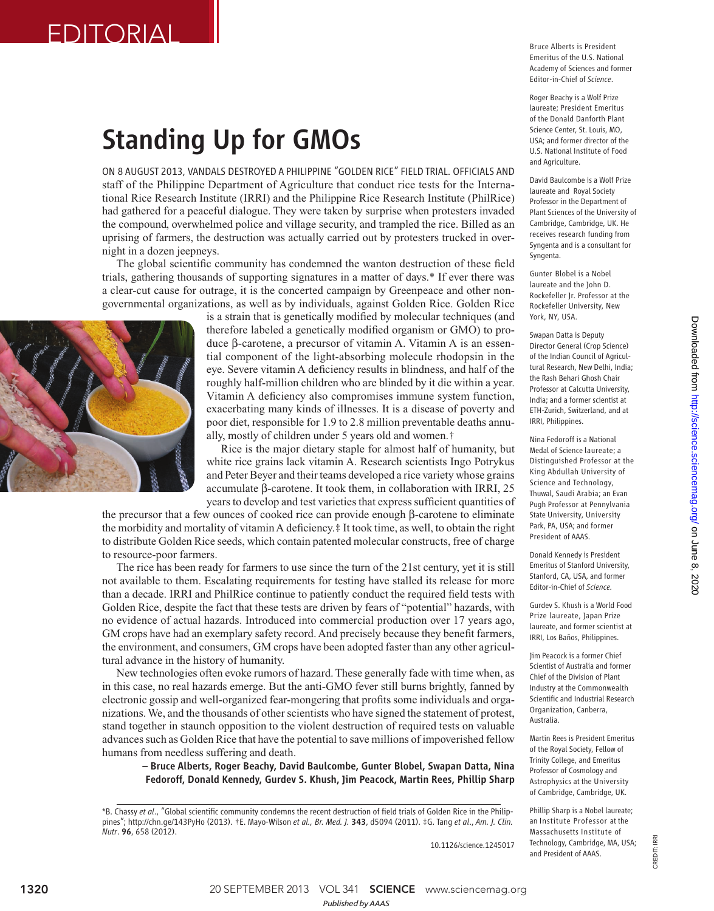## EDITORIAL

## Standing Up for GMOs

ON 8 AUGUST 2013, VANDALS DESTROYED A PHILIPPINE "GOLDEN RICE" FIELD TRIAL. OFFICIALS AND staff of the Philippine Department of Agriculture that conduct rice tests for the International Rice Research Institute (IRRI) and the Philippine Rice Research Institute (PhilRice) had gathered for a peaceful dialogue. They were taken by surprise when protesters invaded the compound, overwhelmed police and village security, and trampled the rice. Billed as an uprising of farmers, the destruction was actually carried out by protesters trucked in overnight in a dozen jeepneys.

The global scientific community has condemned the wanton destruction of these field trials, gathering thousands of supporting signatures in a matter of days.\* If ever there was a clear-cut cause for outrage, it is the concerted campaign by Greenpeace and other nongovernmental organizations, as well as by individuals, against Golden Rice. Golden Rice



is a strain that is genetically modified by molecular techniques (and therefore labeled a genetically modified organism or GMO) to produce β-carotene, a precursor of vitamin A. Vitamin A is an essential component of the light-absorbing molecule rhodopsin in the eye. Severe vitamin A deficiency results in blindness, and half of the roughly half-million children who are blinded by it die within a year. Vitamin A deficiency also compromises immune system function, exacerbating many kinds of illnesses. It is a disease of poverty and poor diet, responsible for 1.9 to 2.8 million preventable deaths annually, mostly of children under 5 years old and women.

Rice is the major dietary staple for almost half of humanity, but white rice grains lack vitamin A. Research scientists Ingo Potrykus and Peter Beyer and their teams developed a rice variety whose grains accumulate β-carotene. It took them, in collaboration with IRRI, 25 years to develop and test varieties that express sufficient quantities of

the precursor that a few ounces of cooked rice can provide enough β-carotene to eliminate the morbidity and mortality of vitamin A deficiency.# It took time, as well, to obtain the right to distribute Golden Rice seeds, which contain patented molecular constructs, free of charge to resource-poor farmers.

The rice has been ready for farmers to use since the turn of the 21st century, yet it is still not available to them. Escalating requirements for testing have stalled its release for more than a decade. IRRI and PhilRice continue to patiently conduct the required field tests with Golden Rice, despite the fact that these tests are driven by fears of "potential" hazards, with no evidence of actual hazards. Introduced into commercial production over 17 years ago, GM crops have had an exemplary safety record. And precisely because they benefit farmers, the environment, and consumers, GM crops have been adopted faster than any other agricultural advance in the history of humanity.

New technologies often evoke rumors of hazard. These generally fade with time when, as in this case, no real hazards emerge. But the anti-GMO fever still burns brightly, fanned by electronic gossip and well-organized fear-mongering that profits some individuals and organizations. We, and the thousands of other scientists who have signed the statement of protest, stand together in staunch opposition to the violent destruction of required tests on valuable advances such as Golden Rice that have the potential to save millions of impoverished fellow humans from needless suffering and death.

## – Bruce Alberts, Roger Beachy, David Baulcombe, Gunter Blobel, Swapan Datta, Nina Fedoroff, Donald Kennedy, Gurdev S. Khush, Jim Peacock, Martin Rees, Phillip Sharp

10.1126/science.1245017

Bruce Alberts is President Emeritus of the U.S. National Academy of Sciences and former Editor-in-Chief of *Science*.

Roger Beachy is a Wolf Prize laureate; President Emeritus of the Donald Danforth Plant Science Center, St. Louis, MO, USA; and former director of the U.S. National Institute of Food and Agriculture.

David Baulcombe is a Wolf Prize laureate and Royal Society Professor in the Department of Plant Sciences of the University of Cambridge, Cambridge, UK. He receives research funding from Syngenta and is a consultant for Syngenta.

Gunter Blobel is a Nobel laureate and the John D. Rockefeller Jr. Professor at the Rockefeller University, New York, NY, USA.

Swapan Datta is Deputy Director General (Crop Science) of the Indian Council of Agricultural Research, New Delhi, India; the Rash Behari Ghosh Chair Professor at Calcutta University, India; and a former scientist at ETH-Zurich, Switzerland, and at IRRI, Philippines.

Nina Fedoroff is a National Medal of Science laureate; a Distinguished Professor at the King Abdullah University of Science and Technology, Thuwal, Saudi Arabia; an Evan Pugh Professor at Pennylvania State University, University Park, PA, USA; and former President of AAAS.

Donald Kennedy is President Emeritus of Stanford University, Stanford, CA, USA, and former Editor-in-Chief of *Science.*

Gurdev S. Khush is a World Food Prize laureate, Japan Prize laureate, and former scientist at IRRI, Los Baños, Philippines.

Jim Peacock is a former Chief Scientist of Australia and former Chief of the Division of Plant Industry at the Commonwealth Scientific and Industrial Research Organization, Canberra, Australia.

Martin Rees is President Emeritus of the Royal Society, Fellow of Trinity College, and Emeritus Professor of Cosmology and Astrophysics at the University of Cambridge, Cambridge, UK.

Phillip Sharp is a Nobel laureate; an Institute Professor at the Massachusetts Institute of Technology, Cambridge, MA, USA; and President of AAAS.

CREDIT: IRRI

R CREDIT-

<sup>\*</sup>B. Chassy *et al*., "Global scientifi c community condemns the recent destruction of fi eld trials of Golden Rice in the Philippines"; http://chn.ge/143PyHo (2013). †E. Mayo-Wilson et al., Br. Med. J. 343, d5094 (2011). ‡G. Tang et al., Am. J. Clin. *Nutr*. 96, 658 (2012).